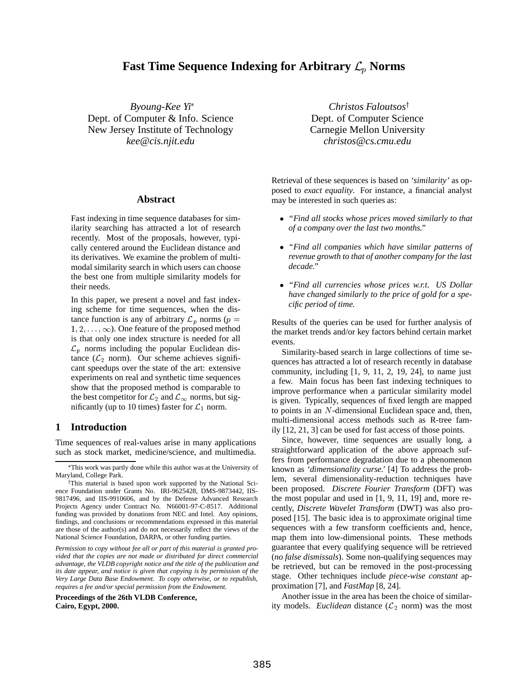# **Fast Time Sequence Indexing for Arbitrary**  $\mathcal{L}_p$  **Norms**

*Byoung-Kee Yi* Dept. of Computer & Info. Science New Jersey Institute of Technology *kee@cis.njit.edu*

### **Abstract**

Fast indexing in time sequence databases for similarity searching has attracted a lot of research recently. Most of the proposals, however, typically centered around the Euclidean distance and its derivatives. We examine the problem of multimodal similarity search in which users can choose the best one from multiple similarity models for their needs.

In this paper, we present a novel and fast indexing scheme for time sequences, when the distance function is any of arbitrary  $\mathcal{L}_p$  norms ( $p =$  $1, 2, \ldots, \infty$ ). One feature of the proposed method is that only one index structure is needed for all  $\mathcal{L}_p$  norms including the popular Euclidean distance ( $\mathcal{L}_2$  norm). Our scheme achieves significant speedups over the state of the art: extensive experiments on real and synthetic time sequences show that the proposed method is comparable to the best competitor for  $\mathcal{L}_2$  and  $\mathcal{L}_{\infty}$  norms, but significantly (up to 10 times) faster for  $\mathcal{L}_1$  norm.

# **1 Introduction**

Time sequences of real-values arise in many applications such as stock market, medicine/science, and multimedia.

*Permission to copy without fee all or part of this material is granted provided that the copies are not made or distributed for direct commercial advantage, the VLDB copyright notice and the title of the publication and its date appear, and notice is given that copying is by permission of the Very Large Data Base Endowment. To copy otherwise, or to republish, requires a fee and/or special permission from the Endowment.*

**Proceedings of the 26th VLDB Conference, Cairo, Egypt, 2000.**

*Christos Faloutsos*<sup>†</sup> Dept. of Computer Science Carnegie Mellon University *christos@cs.cmu.edu*

Retrieval of these sequences is based on *'similarity'* as opposed to *exact equality*. For instance, a financial analyst may be interested in such queries as:

- *"Find all stocks whose prices moved similarly to that of a company over the last two months."*
- *"Find all companies which have similar patterns of revenue growth to that of another company for the last decade."*
- *"Find all currencies whose prices w.r.t. US Dollar have changed similarly to the price of gold for a specific period of time.*

Results of the queries can be used for further analysis of the market trends and/or key factors behind certain market events.

Similarity-based search in large collections of time sequences has attracted a lot of research recently in database community, including  $[1, 9, 11, 2, 19, 24]$ , to name just a few. Main focus has been fast indexing techniques to improve performance when a particular similarity model is given. Typically, sequences of fixed length are mapped to points in an <sup>N</sup>-dimensional Euclidean space and, then, multi-dimensional access methods such as R-tree family [12, 21, 3] can be used for fast access of those points.

Since, however, time sequences are usually long, a straightforward application of the above approach suffers from performance degradation due to a phenomenon known as *'dimensionality curse.'* [4] To address the problem, several dimensionality-reduction techniques have been proposed. *Discrete Fourier Transform* (DFT) was the most popular and used in [1, 9, 11, 19] and, more recently, *Discrete Wavelet Transform* (DWT) was also proposed [15]. The basic idea is to approximate original time sequences with a few transform coefficients and, hence, map them into low-dimensional points. These methods guarantee that every qualifying sequence will be retrieved (*no false dismissals*). Some non-qualifying sequences may be retrieved, but can be removed in the post-processing stage. Other techniques include *piece-wise constant* approximation [7], and *FastMap* [8, 24].

Another issue in the area has been the choice of similarity models. *Euclidean* distance  $(\mathcal{L}_2$  norm) was the most

This work was partly done while this author was at the University of Maryland, College Park.

<sup>&</sup>lt;sup>†</sup>This material is based upon work supported by the National Science Foundation under Grants No. IRI-9625428, DMS-9873442, IIS-9817496, and IIS-9910606, and by the Defense Advanced Research Projects Agency under Contract No. N66001-97-C-8517. Additional funding was provided by donations from NEC and Intel. Any opinions, findings, and conclusions or recommendations expressed in this material are those of the author(s) and do not necessarily reflect the views of the National Science Foundation, DARPA, or other funding parties.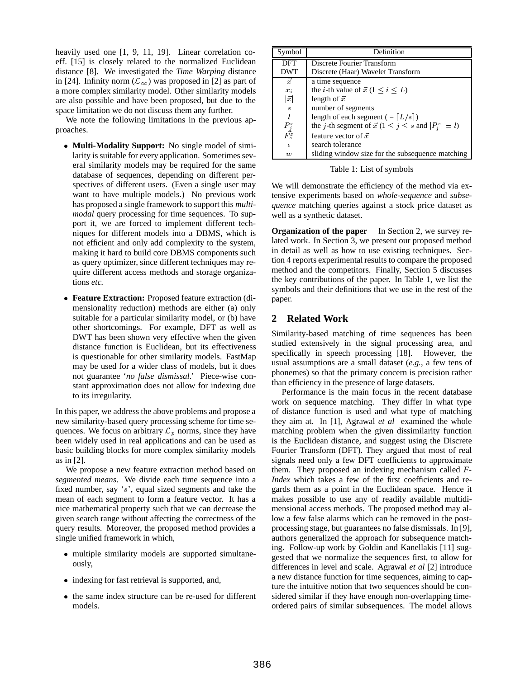heavily used one [1, 9, 11, 19]. Linear correlation coeff. [15] is closely related to the normalized Euclidean distance [8]. We investigated the *Time Warping* distance in [24]. Infinity norm  $(\mathcal{L}_{\infty})$  was proposed in [2] as part of a more complex similarity model. Other similarity models are also possible and have been proposed, but due to the space limitation we do not discuss them any further.

We note the following limitations in the previous approaches.

- **Multi-Modality Support:** No single model of similarity is suitable for every application. Sometimes several similarity models may be required for the same database of sequences, depending on different perspectives of different users. (Even a single user may want to have multiple models.) No previous work has proposed a single framework to support this *multimodal* query processing for time sequences. To support it, we are forced to implement different techniques for different models into a DBMS, which is not efficient and only add complexity to the system, making it hard to build core DBMS components such as query optimizer, since different techniques may require different access methods and storage organizations *etc.*
- **Feature Extraction:** Proposed feature extraction (dimensionality reduction) methods are either (a) only suitable for a particular similarity model, or (b) have other shortcomings. For example, DFT as well as DWT has been shown very effective when the given distance function is Euclidean, but its effectiveness is questionable for other similarity models. FastMap may be used for a wider class of models, but it does not guarantee '*no false dismissal*.' Piece-wise constant approximation does not allow for indexing due to its irregularity.

In this paper, we address the above problems and propose a new similarity-based query processing scheme for time sequences. We focus on arbitrary  $\mathcal{L}_p$  norms, since they have been widely used in real applications and can be used as basic building blocks for more complex similarity models as in [2].

We propose a new feature extraction method based on *segmented means*. We divide each time sequence into a fixed number, say 's', equal sized segments and take the mean of each segment to form a feature vector. It has a nice mathematical property such that we can decrease the given search range without affecting the correctness of the query results. Moreover, the proposed method provides a single unified framework in which,

- multiple similarity models are supported simultaneously,
- indexing for fast retrieval is supported, and,
- the same index structure can be re-used for different models.

| Symbol                | Definition                                                            |
|-----------------------|-----------------------------------------------------------------------|
| DFT                   | Discrete Fourier Transform                                            |
| DWT                   | Discrete (Haar) Wavelet Transform                                     |
| $\vec{x}$             | a time sequence                                                       |
| $x_i$                 | the <i>i</i> -th value of $\vec{x}$ (1 $\leq i \leq L$ )              |
| $ \vec{x} $           | length of $\vec{x}$                                                   |
| S                     | number of segments                                                    |
|                       | length of each segment ( $=[L/s]$ )                                   |
| $\frac{P_j^x}{F_s^x}$ | the j-th segment of $\vec{x}$ ( $1 \leq j \leq s$ and $ P_i^x  = l$ ) |
|                       | feature vector of $\vec{x}$                                           |
| $\epsilon$            | search tolerance                                                      |
| $\boldsymbol{w}$      | sliding window size for the subsequence matching                      |

Table 1: List of symbols

We will demonstrate the efficiency of the method via extensive experiments based on *whole-sequence* and *subsequence* matching queries against a stock price dataset as well as a synthetic dataset.

**Organization of the paper** In Section 2, we survey related work. In Section 3, we present our proposed method in detail as well as how to use existing techniques. Section 4 reports experimental results to compare the proposed method and the competitors. Finally, Section 5 discusses the key contributions of the paper. In Table 1, we list the symbols and their definitions that we use in the rest of the paper.

# **2 Related Work**

Similarity-based matching of time sequences has been studied extensively in the signal processing area, and specifically in speech processing [18]. However, the usual assumptions are a small dataset (*e.g.*, a few tens of phonemes) so that the primary concern is precision rather than efficiency in the presence of large datasets.

Performance is the main focus in the recent database work on sequence matching. They differ in what type of distance function is used and what type of matching they aim at. In [1], Agrawal *et al* examined the whole matching problem when the given dissimilarity function is the Euclidean distance, and suggest using the Discrete Fourier Transform (DFT). They argued that most of real signals need only a few DFT coefficients to approximate them. They proposed an indexing mechanism called *F-Index* which takes a few of the first coefficients and regards them as a point in the Euclidean space. Hence it makes possible to use any of readily available multidimensional access methods. The proposed method may allow a few false alarms which can be removed in the postprocessing stage, but guarantees no false dismissals. In [9], authors generalized the approach for subsequence matching. Follow-up work by Goldin and Kanellakis [11] suggested that we normalize the sequences first, to allow for differences in level and scale. Agrawal *et al* [2] introduce a new distance function for time sequences, aiming to capture the intuitive notion that two sequences should be considered similar if they have enough non-overlapping timeordered pairs of similar subsequences. The model allows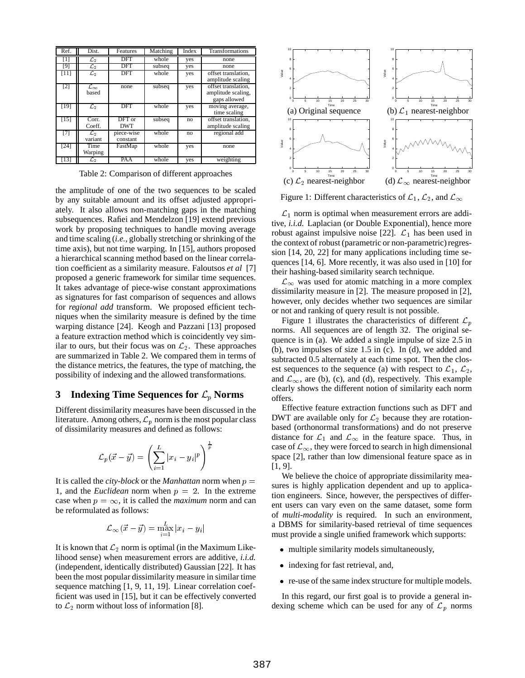| Ref.         | Dist.                           | Features               | Matching | Index | Transformations                                           |
|--------------|---------------------------------|------------------------|----------|-------|-----------------------------------------------------------|
| $\mathbf{I}$ | $\mathcal{L}_2$                 | DFT                    | whole    | yes   | none                                                      |
| [9]          | $\mathcal{L}_2$                 | DFT                    | subseq   | yes   | none                                                      |
| [11]         | $\mathcal{L}_2$                 | <b>DFT</b>             | whole    | yes   | offset translation.<br>amplitude scaling                  |
| [2]          | $\mathcal{L}_{\infty}$<br>based | none                   | subseq   | yes   | offset translation.<br>amplitude scaling,<br>gaps allowed |
| [19]         | $\mathcal{L}_2$                 | <b>DFT</b>             | whole    | yes   | moving average,<br>time scaling                           |
| [15]         | Corr.<br>Coeff.                 | DFT or<br><b>DWT</b>   | subseq   | no    | offset translation.<br>amplitude scaling                  |
| [7]          | $\mathcal{L}_2$<br>variant      | piece-wise<br>constant | whole    | no    | regional add                                              |
| [24]         | Time<br>Warping                 | FastMap                | whole    | yes   | none                                                      |
| [13]         | $\mathcal{L}_2$                 | PAA                    | whole    | yes   | weighting                                                 |

Table 2: Comparison of different approaches

the amplitude of one of the two sequences to be scaled by any suitable amount and its offset adjusted appropriately. It also allows non-matching gaps in the matching subsequences. Rafiei and Mendelzon [19] extend previous work by proposing techniques to handle moving average and time scaling (*i.e.*, globally stretching or shrinking of the time axis), but not time warping. In [15], authors proposed a hierarchical scanning method based on the linear correlation coefficient as a similarity measure. Faloutsos *et al* [7] proposed a generic framework for similar time sequences. It takes advantage of piece-wise constant approximations as signatures for fast comparison of sequences and allows for *regional add* transform. We proposed efficient techniques when the similarity measure is defined by the time warping distance [24]. Keogh and Pazzani [13] proposed a feature extraction method which is coincidently vey similar to ours, but their focus was on  $\mathcal{L}_2$ . These approaches are summarized in Table 2. We compared them in terms of the distance metrics, the features, the type of matching, the possibility of indexing and the allowed transformations.

# **3** Indexing Time Sequences for  $\mathcal{L}_p$  Norms

Different dissimilarity measures have been discussed in the literature. Among others,  $\mathcal{L}_p$  norm is the most popular class of dissimilarity measures and defined as follows:

$$
\mathcal{L}_p(\vec{x} - \vec{y}) = \left(\sum_{i=1}^L |x_i - y_i|^p\right)^{\frac{1}{p}}
$$

It is called the *city-block* or the *Manhattan* norm when  $p =$ 1, and the *Euclidean* norm when  $p = 2$ . In the extreme case when  $p = \infty$ , it is called the *maximum* norm and can be reformulated as follows:

$$
\mathcal{L}_\infty(\vec{x} - \vec{y}) = \max_{i=1}^L |x_i - y_i|
$$

It is known that  $\mathcal{L}_2$  norm is optimal (in the Maximum Likelihood sense) when measurement errors are additive, *i.i.d.* (independent, identically distributed) Gaussian [22]. It has been the most popular dissimilarity measure in similar time sequence matching [1, 9, 11, 19]. Linear correlation coefficient was used in [15], but it can be effectively converted to  $\mathcal{L}_2$  norm without loss of information [8].



Figure 1: Different characteristics of  $\mathcal{L}_1$ ,  $\mathcal{L}_2$ , and  $\mathcal{L}_{\infty}$ 

 $\mathcal{L}_1$  norm is optimal when measurement errors are additive, *i.i.d.* Laplacian (or Double Exponential), hence more robust against impulsive noise [22].  $\mathcal{L}_1$  has been used in the context of robust (parametric or non-parametric) regression [14, 20, 22] for many applications including time sequences [14, 6]. More recently, it was also used in [10] for their hashing-based similarity search technique.

 $\mathcal{L}_{\infty}$  was used for atomic matching in a more complex dissimilarity measure in [2]. The measure proposed in [2], however, only decides whether two sequences are similar or not and ranking of query result is not possible.

Figure 1 illustrates the characteristics of different  $\mathcal{L}_n$ norms. All sequences are of length 32. The original sequence is in (a). We added a single impulse of size 2.5 in (b), two impulses of size 1.5 in (c). In (d), we added and subtracted 0.5 alternately at each time spot. Then the closest sequences to the sequence (a) with respect to  $\mathcal{L}_1$ ,  $\mathcal{L}_2$ , and  $\mathcal{L}_{\infty}$ , are (b), (c), and (d), respectively. This example clearly shows the different notion of similarity each norm offers.

Effective feature extraction functions such as DFT and DWT are available only for  $\mathcal{L}_2$  because they are rotationbased (orthonormal transformations) and do not preserve distance for  $\mathcal{L}_1$  and  $\mathcal{L}_{\infty}$  in the feature space. Thus, in case of  $\mathcal{L}_{\infty}$ , they were forced to search in high dimensional space [2], rather than low dimensional feature space as in [1, 9].

We believe the choice of appropriate dissimilarity measures is highly application dependent and up to application engineers. Since, however, the perspectives of different users can vary even on the same dataset, some form of *multi-modality* is required. In such an environment, a DBMS for similarity-based retrieval of time sequences must provide a single unified framework which supports:

- multiple similarity models simultaneously,
- indexing for fast retrieval, and,
- re-use of the same index structure for multiple models.

In this regard, our first goal is to provide a general indexing scheme which can be used for any of  $\mathcal{L}_p$  norms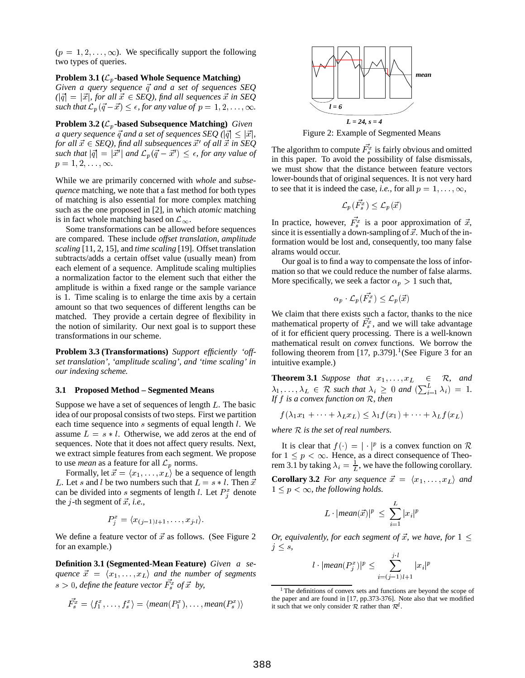$(p = 1, 2, \ldots, \infty)$ . We specifically support the following two types of queries.

# **Problem 3.1 (**Lp**-based Whole Sequence Matching)**

*Given a query sequence*  $\vec{q}$  *and a set of sequences SEQ*  $(|\vec{q}| = |\vec{x}|,$  for all  $\vec{x} \in SEQ$ ), find all sequences  $\vec{x}$  in SEQ *such that*  $\mathcal{L}_p(\vec{q} - \vec{x}) \leq \epsilon$ , *for any value of*  $p = 1, 2, \ldots, \infty$ .

**Problem 3.2 (**Lp**-based Subsequence Matching)** *Given a query sequence*  $\vec{q}$  *and a set of sequences SEQ* ( $|\vec{q}| \leq |\vec{x}|$ *,* for all  $\vec{x} \in \text{SEQ}$ ), find all subsequences  $\vec{x}'$  of all  $\vec{x}$  in SEQ *such that*  $|\vec{q}| = |\vec{x}'|$  *and*  $\mathcal{L}_p(\vec{q} - \vec{x}') \leq \epsilon$ , *for any value of*  $p = 1, 2, \ldots, \infty.$ 

While we are primarily concerned with *whole* and *subsequence* matching, we note that a fast method for both types of matching is also essential for more complex matching such as the one proposed in [2], in which *atomic* matching is in fact whole matching based on  $\mathcal{L}_{\infty}$ .

Some transformations can be allowed before sequences are compared. These include *offset translation*, *amplitude scaling* [11, 2, 15], and *time scaling* [19]. Offset translation subtracts/adds a certain offset value (usually mean) from each element of a sequence. Amplitude scaling multiplies a normalization factor to the element such that either the amplitude is within a fixed range or the sample variance is 1. Time scaling is to enlarge the time axis by a certain amount so that two sequences of different lengths can be matched. They provide a certain degree of flexibility in the notion of similarity. Our next goal is to support these transformations in our scheme.

**Problem 3.3 (Transformations)** *Support efficiently 'offset translation', 'amplitude scaling', and 'time scaling' in our indexing scheme.*

#### **3.1 Proposed Method – Segmented Means**

Suppose we have a set of sequences of length  $L$ . The basic idea of our proposal consists of two steps. First we partition each time sequence into s segments of equal length *l*. We assume  $L = s * l$ . Otherwise, we add zeros at the end of sequences. Note that it does not affect query results. Next, we extract simple features from each segment. We propose to use *mean* as a feature for all  $\mathcal{L}_p$  norms.

Formally, let  $\vec{x} = \langle x_1, \ldots, x_L \rangle$  be a sequence of length L. Let s and l be two numbers such that  $L = s * l$ . Then  $\vec{x}$ can be divided into s segments of length *l*. Let  $P_i^x$  denote the *j*-th segment of  $\vec{x}$ , *i.e.*,

$$
P_j^x = \langle x_{(j-1)l+1}, \ldots, x_{j\cdot l} \rangle.
$$

We define a feature vector of  $\vec{x}$  as follows. (See Figure 2) for an example.)

**Definition 3.1 (Segmented-Mean Feature)** *Given a sequence*  $\vec{x} = \langle x_1, \ldots, x_L \rangle$  *and the number of segments*  $s > 0$ , define the feature vector  $F_s^x$  of  $\vec{x}$  by,

$$
\vec{F_s^x} = \langle f_1^x, \ldots, f_s^x \rangle = \langle mean(P_1^x), \ldots, mean(P_s^x) \rangle
$$



Figure 2: Example of Segmented Means

The algorithm to compute  $F_s^x$  is fairly obvious and omitted in this paper. To avoid the possibility of false dismissals, we must show that the distance between feature vectors lower-bounds that of original sequences. It is not very hard to see that it is indeed the case, *i.e.*, for all  $p = 1, \ldots, \infty$ ,

$$
\mathcal{L}_p(\bar{F^x_s}) \le \mathcal{L}_p(\vec{x})
$$

In practice, however,  $F_s^x$  is a poor approximation of  $\vec{x}$ , since it is essentially a down-sampling of  $\vec{x}$ . Much of the information would be lost and, consequently, too many false alrams would occur.

Our goal is to find a way to compensate the loss of information so that we could reduce the number of false alarms. More specifically, we seek a factor  $\alpha_p > 1$  such that,

$$
\alpha_p \cdot \mathcal{L}_p(\vec{F_s^x}) \le \mathcal{L}_p(\vec{x})
$$

We claim that there exists such a factor, thanks to the nice mathematical property of  $F_s^x$ , and we will take advantage of it for efficient query processing. There is a well-known mathematical result on *convex* functions. We borrow the following theorem from [17, p.379].<sup>1</sup> (See Figure 3 for an intuitive example.)

**Theorem 3.1** *Suppose that*  $x_1, \ldots, x_L \in \mathbb{R}$ *, and*  $\lambda_1, \ldots, \lambda_L \in \mathcal{R}$  such that  $\lambda_i \geq 0$  and  $\left(\sum_{i=1}^L \lambda_i\right) = 1$ . *If* <sup>f</sup> *is a convex function on* <sup>R</sup>*, then*

$$
f(\lambda_1x_1+\cdots+\lambda_Lx_L)\leq \lambda_1f(x_1)+\cdots+\lambda_Lf(x_L)
$$

*where* <sup>R</sup> *is the set of real numbers.*

It is clear that  $f(\cdot) = |\cdot|^p$  is a convex function on R for  $1 \leq p < \infty$ . Hence, as a direct consequence of Theorem 3.1 by taking  $\lambda_i = \frac{1}{L}$ , we have the following corollary.

**Corollary 3.2** *For any sequence*  $\vec{x} = \langle x_1, \ldots, x_L \rangle$  *and*  $1 \leq p \leq \infty$ , the following holds.

$$
L \cdot |mean(\vec{x})|^p \leq \sum_{i=1}^{L} |x_i|^p
$$

*Or, equivalently, for each segment of*  $\vec{x}$ *, we have, for*  $1 \leq$  $j \leq s$ ,

$$
l \cdot |\text{mean}(P_j^x)|^p \le \sum_{i=(j-1)l+1}^{j \cdot l} |x_i|^p
$$

<sup>1</sup> The definitions of convex sets and functions are beyond the scope of the paper and are found in [17, pp.373-376]. Note also that we modified it such that we only consider  $R$  rather than  $\mathcal{R}^d$ .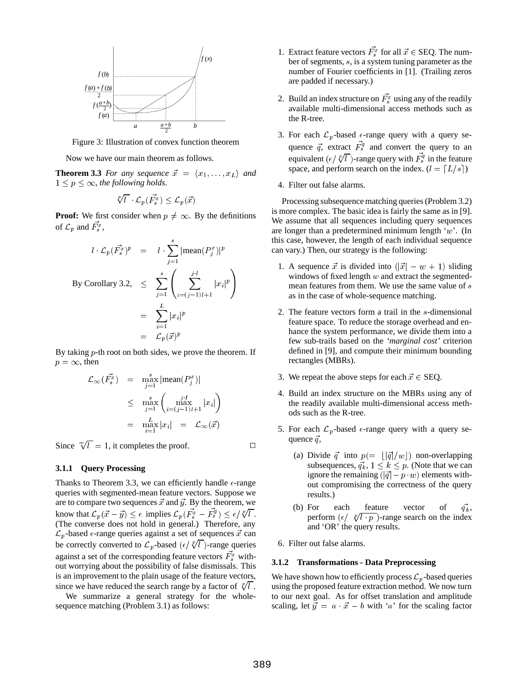

Figure 3: Illustration of convex function theorem

Now we have our main theorem as follows.

**Theorem 3.3** *For any sequence*  $\vec{x} = \langle x_1, \ldots, x_L \rangle$  *and*  $1 \le p \le \infty$ , the following holds.

$$
\sqrt[p]{l} \cdot \mathcal{L}_p(\vec{F_s^x}) \le \mathcal{L}_p(\vec{x})
$$

**Proof:** We first consider when  $p \neq \infty$ . By the definitions of  $\mathcal{L}_p$  and  $F_s^x$ ,

$$
l \cdot \mathcal{L}_p(\vec{F_s}^x)^p = l \cdot \sum_{j=1}^s |\text{mean}(P_j^x)|^p \qquad \text{can va}
$$
  
By Corollary 3.2,  $\leq \sum_{j=1}^s \left( \sum_{i=(j-1)l+1}^{j \cdot l} |x_i|^p \right)$   
 $= \sum_{i=1}^L |x_i|^p \qquad \text{a}$   
 $= \mathcal{L}_p(\vec{x})^p$ 

By taking  $p$ -th root on both sides, we prove the theorem. If  $p = \infty$ , then

$$
\mathcal{L}_{\infty}(\vec{F_s^n}) = \max_{j=1}^s |\text{mean}(P_j^n)|
$$
\n
$$
\leq \max_{j=1}^s \left( \max_{i=(j-1)l+1} |x_i| \right)
$$
\n
$$
= \max_{i=1}^L |x_i| = \mathcal{L}_{\infty}(\vec{x})
$$

Since  $\sqrt[\infty]{l} = 1$ , it completes the proof.

#### **3.1.1 Query Processing**

Thanks to Theorem 3.3, we can efficiently handle  $\epsilon$ -range queries with segmented-mean feature vectors. Suppose we are to compare two sequences  $\vec{x}$  and  $\vec{y}$ . By the theorem, we know that  $\mathcal{L}_p(\vec{x} - \vec{y}) \leq \epsilon$  implies  $\mathcal{L}_p(F_s^{\tau_x} - F_s^{\tau_y}) \leq \epsilon / \sqrt[p]{\epsilon}$ . (The converse does not hold in general.) Therefore, any  $\mathcal{L}_p$ -based  $\epsilon$ -range queries against a set of sequences  $\vec{x}$  can be correctly converted to  $\mathcal{L}_p$ -based  $(\epsilon / \sqrt[p]{l})$ -range queries against a set of the corresponding feature vectors  $F_s^x$  without worrying about the possibility of false dismissals. This is an improvement to the plain usage of the feature vectors, since we have reduced the search range by a factor of  $\sqrt[p]{l}$ .

We summarize a general strategy for the wholesequence matching (Problem 3.1) as follows:

- 1. Extract feature vectors  $F_s^x$  for all  $\vec{x} \in \text{SEQ}$ . The number of segments, <sup>s</sup>, is a system tuning parameter as the number of Fourier coefficients in [1]. (Trailing zeros are padded if necessary.)
- 2. Build an index structure on  $F_s^x$  using any of the readily available multi-dimensional access methods such as the R-tree.
- 3. For each  $\mathcal{L}_p$ -based  $\epsilon$ -range query with a query sequence  $\vec{q}$ , extract  $F_s^q$  and convert the query to an equivalent ( $\epsilon / \sqrt[p]{l}$ )-range query with  $F_s^q$  in the feature space, and perform search on the index.  $(l = [L/s])$
- 4. Filter out false alarms.

Processing subsequence matching queries (Problem 3.2) is more complex. The basic idea is fairly the same as in [9]. We assume that all sequences including query sequences are longer than a predetermined minimum length 'w'. (In this case, however, the length of each individual sequence can vary.) Then, our strategy is the following:

- and the contract of the contract of the contract of the contract of the contract of the contract of the contract of 1. A sequence  $\vec{x}$  is divided into  $(|\vec{x}| - w + 1)$  sliding windows of fixed length  $w$  and extract the segmentedmean features from them. We use the same value of s as in the case of whole-sequence matching.
	- 2. The feature vectors form a trail in the <sup>s</sup>-dimensional feature space. To reduce the storage overhead and enhance the system performance, we divide them into a few sub-trails based on the *'marginal cost'* criterion defined in [9], and compute their minimum bounding rectangles (MBRs).
	- 3. We repeat the above steps for each  $\vec{x} \in \text{SEQ}$ .
	- 4. Build an index structure on the MBRs using any of the readily available multi-dimensional access methods such as the R-tree.
	- 5. For each  $\mathcal{L}_p$ -based  $\epsilon$ -range query with a query sequence  $\vec{q}$ ,
		- (a) Divide  $\vec{q}$  into  $p(=\lfloor |\vec{q}|/w \rfloor)$  non-overlapping subsequences,  $q_k^2$ ,  $1 \leq k \leq p$ . (Note that we can ignore the remaining  $(|\vec{q}| - p \cdot w)$  elements without compromising the correctness of the query results.)
		- (b) For each feature vector of  $\vec{q_k}$ , perform  $\left(\frac{\epsilon}{\sqrt[p]{l+p}}\right)$ -range search on the index and 'OR' the query results.
	- 6. Filter out false alarms.

#### **3.1.2 Transformations - Data Preprocessing**

We have shown how to efficiently process  $\mathcal{L}_p$ -based queries using the proposed feature extraction method. We now turn to our next goal. As for offset translation and amplitude scaling, let  $\vec{y} = a \cdot \vec{x} - b$  with 'a' for the scaling factor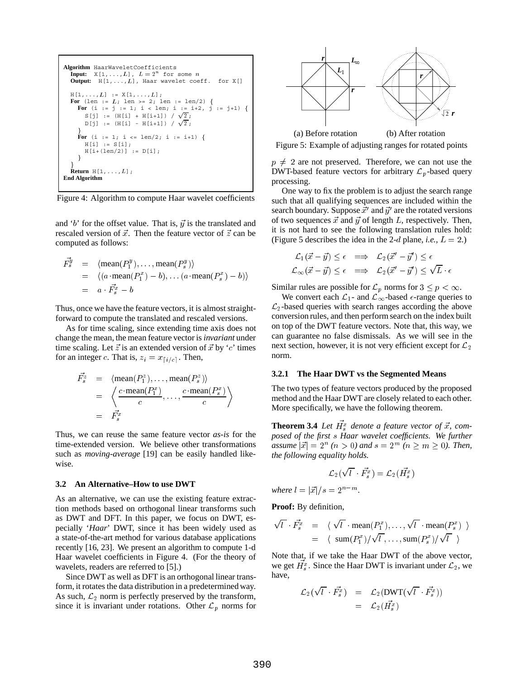```
Algorithm HaarWaveletCoefficients
   Input: X[1,\ldots,L], L=2^n for some n
   Output: H[1,\ldots,L], Haar wavelet coeff. for X[]
   H[1, ..., L] := X[1, ..., L];
   For (len := L; len >= 2; len := len/2) {
       For (i := j := 1; i < len; i := i+2, j := j+1) {
          S[j] := (H[i] + H[i+1]) / \sqrt{2};
          <code>D[j]</code> := (H[i] - H[i+1]) / \sqrt{2};
       graduated and the contract of the contract of the contract of the contract of the contract of the contract of
      For (i := 1; i <= len/2; i := i+1) {
         H[i] := S[i];H[i+(len/2)] := D[i];graduated and the contract of the contract of the contract of the contract of the contract of the contract of
   and the contract of the contract of the contract of the contract of the contract of the contract of the contract of
   Return H[1,...,L];
End Algorithm
```
Figure 4: Algorithm to compute Haar wavelet coefficients

and 'b' for the offset value. That is,  $\vec{y}$  is the translated and rescaled version of  $\vec{x}$ . Then the feature vector of  $\vec{z}$  can be computed as follows:

$$
\begin{array}{rcl}\n\vec{F}_s^y & = & \langle \text{mean}(P_1^y), \dots, \text{mean}(P_s^y) \rangle \\
& = & \langle (a \cdot \text{mean}(P_1^x) - b), \dots (a \cdot \text{mean}(P_s^x) - b) \rangle \\
& = & a \cdot \vec{F}_s^x - b\n\end{array} \tag{Sim}
$$

Thus, once we have the feature vectors, it is almost straightforward to compute the translated and rescaled versions.

As for time scaling, since extending time axis does not change the mean, the mean feature vector is *invariant* under time scaling. Let  $\vec{z}$  is an extended version of  $\vec{x}$  by 'c' times for an integer c. That is,  $z_i = x_{\lceil i/c \rceil}$ . Then,

F~z <sup>s</sup> <sup>=</sup> <sup>h</sup>mean(P z1 );:::; mean(P <sup>z</sup> <sup>s</sup> )i <sup>=</sup> c mean(P <sup>x</sup> <sup>1</sup> ) <sup>c</sup> ;:::; c mean(P <sup>x</sup> <sup>s</sup> ) <sup>c</sup> <sup>=</sup> F~x

Thus, we can reuse the same feature vector *as-is* for the time-extended version. We believe other transformations such as *moving-average* [19] can be easily handled likewise.

#### **3.2 An Alternative–How to use DWT**

se a construction of the construction of the construction of the construction of the construction of the construction of the construction of the construction of the construction of the construction of the construction of t

As an alternative, we can use the existing feature extraction methods based on orthogonal linear transforms such as DWT and DFT. In this paper, we focus on DWT, especially '*Haar*' DWT, since it has been widely used as a state-of-the-art method for various database applications recently [16, 23]. We present an algorithm to compute 1-d Haar wavelet coefficients in Figure 4. (For the theory of wavelets, readers are referred to [5].)

Since DWT as well as DFT is an orthogonal linear transform, it rotates the data distribution in a predetermined way. As such,  $\mathcal{L}_2$  norm is perfectly preserved by the transform, since it is invariant under rotations. Other  $\mathcal{L}_p$  norms for



Figure 5: Example of adjusting ranges for rotated points

 $p \neq 2$  are not preserved. Therefore, we can not use the DWT-based feature vectors for arbitrary  $\mathcal{L}_p$ -based query processing.

One way to fix the problem is to adjust the search range such that all qualifying sequences are included within the search boundary. Suppose  $\vec{x}'$  and  $\vec{y}'$  are the rotated versions of two sequences  $\vec{x}$  and  $\vec{y}$  of length L, respectively. Then, it is not hard to see the following translation rules hold: (Figure 5 describes the idea in the 2-d plane, *i.e.*,  $L = 2$ .)

$$
\begin{aligned} \mathcal{L}_1(\vec{x}-\vec{y}) \leq \epsilon & \implies \mathcal{L}_2(\vec{x}'-\vec{y}') \leq \epsilon \\ \mathcal{L}_{\infty}(\vec{x}-\vec{y}) \leq \epsilon & \implies \mathcal{L}_2(\vec{x}'-\vec{y}') \leq \sqrt{L} \cdot \epsilon \end{aligned}
$$

Similar rules are possible for  $\mathcal{L}_p$  norms for  $3 \leq p < \infty$ .

We convert each  $\mathcal{L}_1$ - and  $\mathcal{L}_{\infty}$ -based  $\epsilon$ -range queries to  $\mathcal{L}_2$ -based queries with search ranges according the above conversion rules, and then perform search on the index built on top of the DWT feature vectors. Note that, this way, we can guarantee no false dismissals. As we will see in the next section, however, it is not very efficient except for  $\mathcal{L}_2$ norm.

#### **3.2.1 The Haar DWT vs the Segmented Means**

The two types of feature vectors produced by the proposed method and the Haar DWT are closely related to each other. More specifically, we have the following theorem.

**Theorem 3.4** Let  $H_s^x$  denote a feature vector of  $\vec{x}$ , com*posed of the first* <sup>s</sup> *Haar wavelet coefficients. We further*  $$ *the following equality holds.*

$$
\mathcal{L}_2(\sqrt{l} \cdot \vec{F^x_s}) = \mathcal{L}_2(\vec{H^x_s})
$$

*where*  $l = |\vec{x}|/s = 2^{n-m}$ .

**Proof:** By definition,

$$
\begin{array}{rcl}\n\sqrt{l} \cdot \vec{F_s^x} & = & \langle \sqrt{l} \cdot \text{mean}(P_1^x), \dots, \sqrt{l} \cdot \text{mean}(P_s^x) \rangle \\
\\
& = & \langle \text{ sum}(P_1^x) / \sqrt{l}, \dots, \text{ sum}(P_s^x) / \sqrt{l} \rangle\n\end{array}
$$

Note that, if we take the Haar DWT of the above vector, we get  $H_s^x$ . Since the Haar DWT is invariant under  $\mathcal{L}_2$ , we have,

$$
\mathcal{L}_2(\sqrt{l} \cdot \vec{F_s^x}) = \mathcal{L}_2(DWT(\sqrt{l} \cdot \vec{F_s^x}))
$$
  
=  $\mathcal{L}_2(\vec{H_s^x})$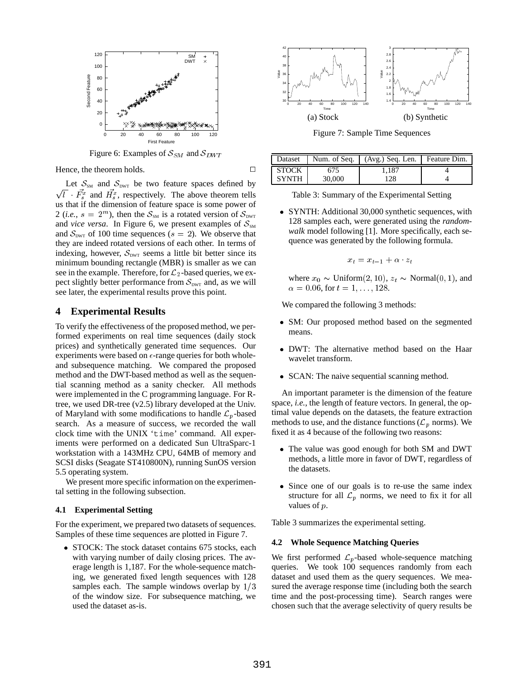

Figure 6: Examples of  $S_{SM}$  and  $S_{DWT}$ 

Hence, the theorem holds.  $\Box$ 

Let  $S_{\text{SM}}$  and  $S_{\text{DWT}}$  be two feature spaces defined by  $\sqrt{l}$   $\vec{F_s}$  and  $\vec{H_s}$ , respectively. The above theorem tells us that if the dimension of feature space is some power of 2 (*i.e.*,  $s = 2^m$ ), then the  $S_{\text{SM}}$  is a rotated version of  $S_{\text{DWT}}$ and *vice versa*. In Figure 6, we present examples of  $S_{\text{SM}}$ and  $S_{\text{DWT}}$  of 100 time sequences ( $s = 2$ ). We observe that they are indeed rotated versions of each other. In terms of indexing, however,  $S_{\text{DWT}}$  seems a little bit better since its minimum bounding rectangle (MBR) is smaller as we can see in the example. Therefore, for  $\mathcal{L}_2$ -based queries, we expect slightly better performance from  $S_{\text{DWT}}$  and, as we will see later, the experimental results prove this point.

### **4 Experimental Results**

To verify the effectiveness of the proposed method, we performed experiments on real time sequences (daily stock prices) and synthetically generated time sequences. Our experiments were based on  $\epsilon$ -range queries for both wholeand subsequence matching. We compared the proposed method and the DWT-based method as well as the sequential scanning method as a sanity checker. All methods were implemented in the C programming language. For Rtree, we used DR-tree (v2.5) library developed at the Univ. of Maryland with some modifications to handle  $\mathcal{L}_p$ -based search. As a measure of success, we recorded the wall clock time with the UNIX 'time' command. All experiments were performed on a dedicated Sun UltraSparc-1 workstation with a 143MHz CPU, 64MB of memory and SCSI disks (Seagate ST410800N), running SunOS version 5.5 operating system.

We present more specific information on the experimental setting in the following subsection.

#### **4.1 Experimental Setting**

For the experiment, we prepared two datasets of sequences. Samples of these time sequences are plotted in Figure 7.

• STOCK: The stock dataset contains 675 stocks, each with varying number of daily closing prices. The average length is 1,187. For the whole-sequence matching, we generated fixed length sequences with 128 samples each. The sample windows overlap by  $1/3$ of the window size. For subsequence matching, we used the dataset as-is.



Figure 7: Sample Time Sequences

| Dataset      |        | Num. of Seq.   (Avg.) Seq. Len. | Feature Dim. |
|--------------|--------|---------------------------------|--------------|
| STOCK        | 675    | 1.187                           |              |
| <b>SYNTH</b> | 30,000 | 128                             |              |

Table 3: Summary of the Experimental Setting

 SYNTH: Additional 30,000 synthetic sequences, with 128 samples each, were generated using the *randomwalk* model following [1]. More specifically, each sequence was generated by the following formula.

$$
x_t = x_{t-1} + \alpha \cdot z_t
$$

where  $x_0 \sim \text{Uniform}(2, 10)$ ,  $z_t \sim \text{Normal}(0, 1)$ , and  $\alpha = 0.06$ , for  $t = 1, \ldots, 128$ .

We compared the following 3 methods:

- SM: Our proposed method based on the segmented means.
- DWT: The alternative method based on the Haar wavelet transform.
- SCAN: The naive sequential scanning method.

An important parameter is the dimension of the feature space, *i.e.*, the length of feature vectors. In general, the optimal value depends on the datasets, the feature extraction methods to use, and the distance functions ( $\mathcal{L}_p$  norms). We fixed it as 4 because of the following two reasons:

- The value was good enough for both SM and DWT methods, a little more in favor of DWT, regardless of the datasets.
- Since one of our goals is to re-use the same index structure for all  $\mathcal{L}_p$  norms, we need to fix it for all values of <sup>p</sup>.

Table 3 summarizes the experimental setting.

#### **4.2 Whole Sequence Matching Queries**

We first performed  $\mathcal{L}_p$ -based whole-sequence matching queries. We took 100 sequences randomly from each dataset and used them as the query sequences. We measured the average response time (including both the search time and the post-processing time). Search ranges were chosen such that the average selectivity of query results be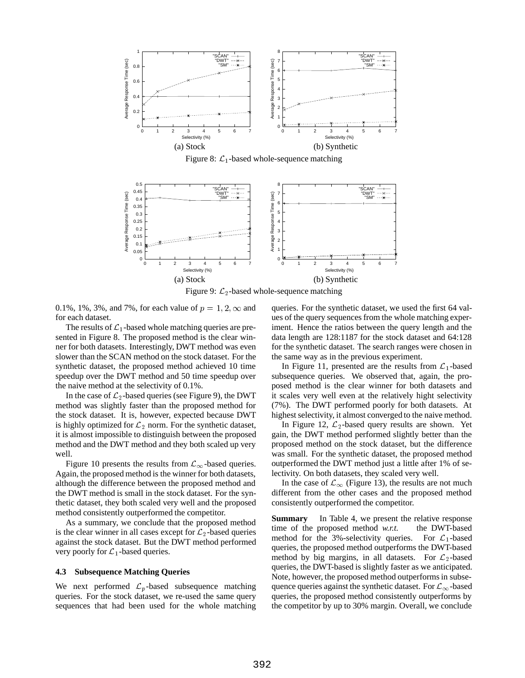

Figure 8:  $\mathcal{L}_1$ -based whole-sequence matching



Figure 9:  $\mathcal{L}_2$ -based whole-sequence matching

0.1%, 1%, 3%, and 7%, for each value of  $p = 1, 2, \infty$  and for each dataset.

The results of  $\mathcal{L}_1$ -based whole matching queries are presented in Figure 8. The proposed method is the clear winner for both datasets. Interestingly, DWT method was even slower than the SCAN method on the stock dataset. For the synthetic dataset, the proposed method achieved 10 time speedup over the DWT method and 50 time speedup over the naive method at the selectivity of 0.1%.

In the case of  $\mathcal{L}_2$ -based queries (see Figure 9), the DWT method was slightly faster than the proposed method for the stock dataset. It is, however, expected because DWT is highly optimized for  $\mathcal{L}_2$  norm. For the synthetic dataset, it is almost impossible to distinguish between the proposed method and the DWT method and they both scaled up very well.

Figure 10 presents the results from  $\mathcal{L}_{\infty}$ -based queries. Again, the proposed method is the winner for both datasets, although the difference between the proposed method and the DWT method is small in the stock dataset. For the synthetic dataset, they both scaled very well and the proposed method consistently outperformed the competitor.

As a summary, we conclude that the proposed method is the clear winner in all cases except for  $\mathcal{L}_2$ -based queries against the stock dataset. But the DWT method performed very poorly for  $\mathcal{L}_1$ -based queries.

### **4.3 Subsequence Matching Queries**

We next performed  $\mathcal{L}_p$ -based subsequence matching queries. For the stock dataset, we re-used the same query sequences that had been used for the whole matching queries. For the synthetic dataset, we used the first 64 values of the query sequences from the whole matching experiment. Hence the ratios between the query length and the data length are 128:1187 for the stock dataset and 64:128 for the synthetic dataset. The search ranges were chosen in the same way as in the previous experiment.

In Figure 11, presented are the results from  $\mathcal{L}_1$ -based subsequence queries. We observed that, again, the proposed method is the clear winner for both datasets and it scales very well even at the relatively hight selectivity (7%). The DWT performed poorly for both datasets. At highest selectivity, it almost converged to the naive method.

In Figure 12,  $\mathcal{L}_2$ -based query results are shown. Yet gain, the DWT method performed slightly better than the proposed method on the stock dataset, but the difference was small. For the synthetic dataset, the proposed method outperformed the DWT method just a little after 1% of selectivity. On both datasets, they scaled very well.

In the case of  $\mathcal{L}_{\infty}$  (Figure 13), the results are not much different from the other cases and the proposed method consistently outperformed the competitor.

**Summary** In Table 4, we present the relative response time of the proposed method *w.r.t.* the DWT-based method for the 3%-selectivity queries. For  $\mathcal{L}_1$ -based queries, the proposed method outperforms the DWT-based method by big margins, in all datasets. For  $\mathcal{L}_2$ -based queries, the DWT-based is slightly faster as we anticipated. Note, however, the proposed method outperforms in subsequence queries against the synthetic dataset. For  $\mathcal{L}_{\infty}$ -based queries, the proposed method consistently outperforms by the competitor by up to 30% margin. Overall, we conclude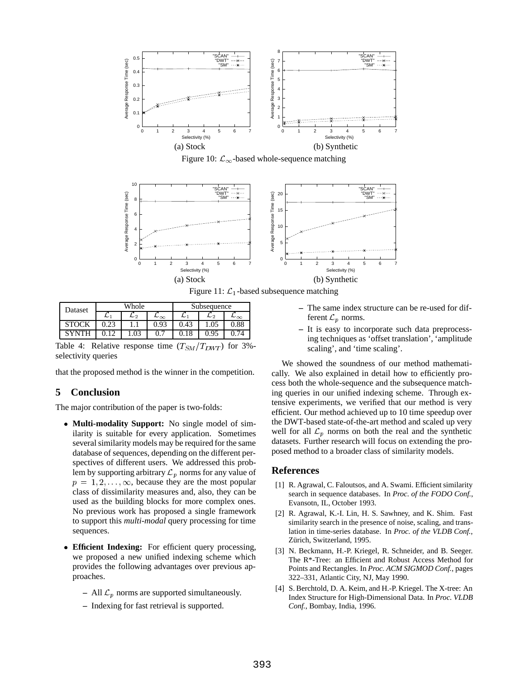

Figure 10:  $\mathcal{L}_{\infty}$ -based whole-sequence matching



Figure 11:  $\mathcal{L}_1$ -based subsequence matching

| Dataset | Whole |    |              | Subsequence |      |              |
|---------|-------|----|--------------|-------------|------|--------------|
|         | ∼     | L2 | $\sim\infty$ | ∼           | L2   | $\sim\infty$ |
|         |       |    | 0.93         | 0.43        |      | 0.88         |
|         |       |    |              |             | 0.95 |              |

Table 4: Relative response time  $(T_{SM}/T_{DWT})$  for 3%selectivity queries

that the proposed method is the winner in the competition.

# **5 Conclusion**

The major contribution of the paper is two-folds:

- **Multi-modality Support:** No single model of similarity is suitable for every application. Sometimes several similarity models may be required for the same database of sequences, depending on the different perspectives of different users. We addressed this problem by supporting arbitrary  $\mathcal{L}_p$  norms for any value of  $p = 1, 2, \ldots, \infty$ , because they are the most popular class of dissimilarity measures and, also, they can be used as the building blocks for more complex ones. No previous work has proposed a single framework to support this *multi-modal* query processing for time sequences.
- **Efficient Indexing:** For efficient query processing, we proposed a new unified indexing scheme which provides the following advantages over previous approaches.
	- All  $\mathcal{L}_p$  norms are supported simultaneously.
	- **–** Indexing for fast retrieval is supported.
- **–** The same index structure can be re-used for different  $\mathcal{L}_p$  norms.
- **–** It is easy to incorporate such data preprocessing techniques as 'offset translation', 'amplitude scaling', and 'time scaling'.

We showed the soundness of our method mathematically. We also explained in detail how to efficiently process both the whole-sequence and the subsequence matching queries in our unified indexing scheme. Through extensive experiments, we verified that our method is very efficient. Our method achieved up to 10 time speedup over the DWT-based state-of-the-art method and scaled up very well for all  $\mathcal{L}_p$  norms on both the real and the synthetic datasets. Further research will focus on extending the proposed method to a broader class of similarity models.

# **References**

- [1] R. Agrawal, C. Faloutsos, and A. Swami. Efficient similarity search in sequence databases. In *Proc. of the FODO Conf.*, Evansotn, IL, October 1993.
- [2] R. Agrawal, K.-I. Lin, H. S. Sawhney, and K. Shim. Fast similarity search in the presence of noise, scaling, and translation in time-series database. In *Proc. of the VLDB Conf.*, Zürich, Switzerland, 1995.
- [3] N. Beckmann, H.-P. Kriegel, R. Schneider, and B. Seeger. The R\*-Tree: an Efficient and Robust Access Method for Points and Rectangles. In *Proc. ACM SIGMOD Conf.*, pages 322–331, Atlantic City, NJ, May 1990.
- [4] S. Berchtold, D. A. Keim, and H.-P. Kriegel. The X-tree: An Index Structure for High-Dimensional Data. In *Proc. VLDB Conf.*, Bombay, India, 1996.